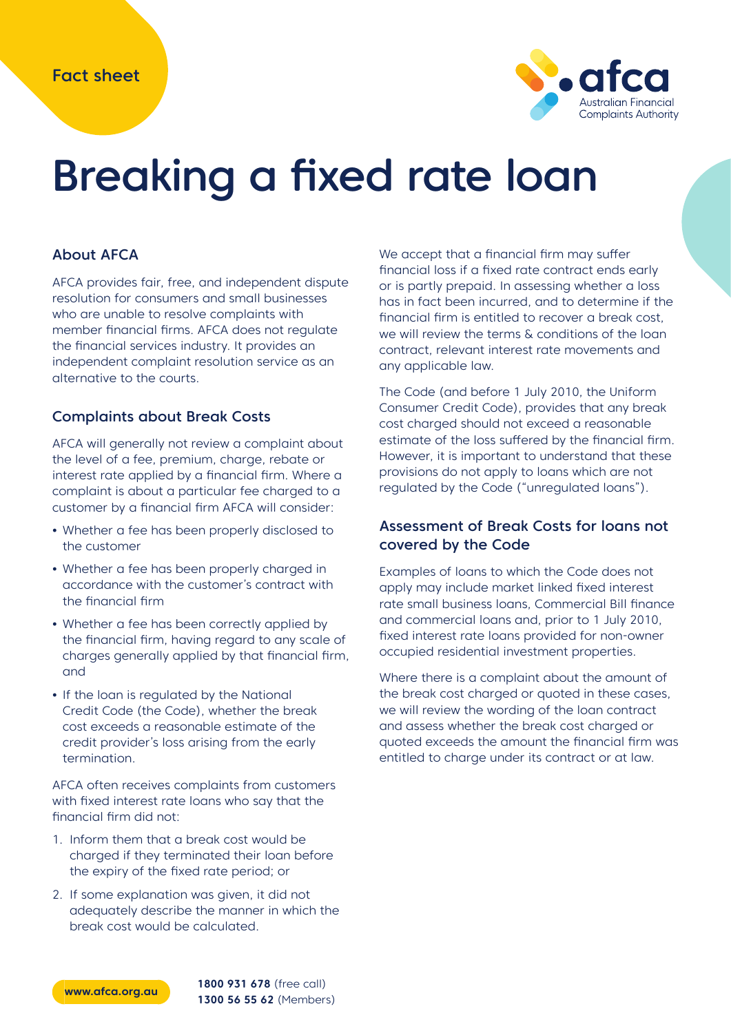

# Breaking a fixed rate loan

#### About AFCA

AFCA provides fair, free, and independent dispute resolution for consumers and small businesses who are unable to resolve complaints with member financial firms. AFCA does not regulate the financial services industry. It provides an independent complaint resolution service as an alternative to the courts.

#### Complaints about Break Costs

AFCA will generally not review a complaint about the level of a fee, premium, charge, rebate or interest rate applied by a financial firm. Where a complaint is about a particular fee charged to a customer by a financial firm AFCA will consider:

- **•** Whether a fee has been properly disclosed to the customer
- **•** Whether a fee has been properly charged in accordance with the customer's contract with the financial firm
- **•** Whether a fee has been correctly applied by the financial firm, having regard to any scale of charges generally applied by that financial firm, and
- **•** If the loan is regulated by the National Credit Code (the Code), whether the break cost exceeds a reasonable estimate of the credit provider's loss arising from the early termination.

AFCA often receives complaints from customers with fixed interest rate loans who say that the financial firm did not:

- 1. Inform them that a break cost would be charged if they terminated their loan before the expiry of the fixed rate period; or
- 2. If some explanation was given, it did not adequately describe the manner in which the break cost would be calculated.

We accept that a financial firm may suffer financial loss if a fixed rate contract ends early or is partly prepaid. In assessing whether a loss has in fact been incurred, and to determine if the financial firm is entitled to recover a break cost, we will review the terms & conditions of the loan contract, relevant interest rate movements and any applicable law.

The Code (and before 1 July 2010, the Uniform Consumer Credit Code), provides that any break cost charged should not exceed a reasonable estimate of the loss suffered by the financial firm. However, it is important to understand that these provisions do not apply to loans which are not regulated by the Code ("unregulated loans").

#### Assessment of Break Costs for loans not covered by the Code

Examples of loans to which the Code does not apply may include market linked fixed interest rate small business loans, Commercial Bill finance and commercial loans and, prior to 1 July 2010, fixed interest rate loans provided for non-owner occupied residential investment properties.

Where there is a complaint about the amount of the break cost charged or quoted in these cases, we will review the wording of the loan contract and assess whether the break cost charged or quoted exceeds the amount the financial firm was entitled to charge under its contract or at law.



**www.afca.org.au 1800 931 678** (free call) **1300 56 55 62** (Members)